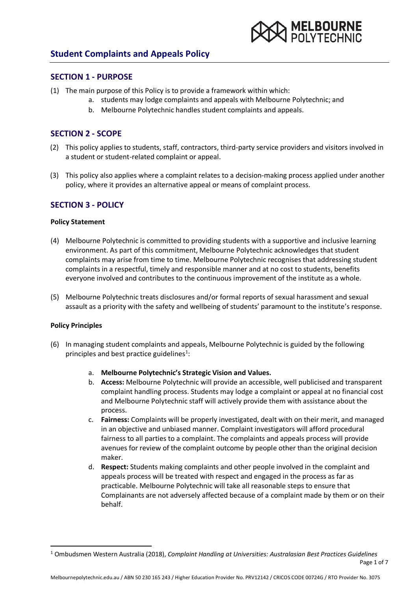

### **SECTION 1 - PURPOSE**

- (1) The main purpose of this Policy is to provide a framework within which:
	- a. students may lodge complaints and appeals with Melbourne Polytechnic; and
	- b. Melbourne Polytechnic handles student complaints and appeals.

## **SECTION 2 - SCOPE**

- (2) This policy applies to students, staff, contractors, third-party service providers and visitors involved in a student or student-related complaint or appeal.
- (3) This policy also applies where a complaint relates to a decision-making process applied under another policy, where it provides an alternative appeal or means of complaint process.

### **SECTION 3 - POLICY**

#### **Policy Statement**

- (4) Melbourne Polytechnic is committed to providing students with a supportive and inclusive learning environment. As part of this commitment, Melbourne Polytechnic acknowledges that student complaints may arise from time to time. Melbourne Polytechnic recognises that addressing student complaints in a respectful, timely and responsible manner and at no cost to students, benefits everyone involved and contributes to the continuous improvement of the institute as a whole.
- (5) Melbourne Polytechnic treats disclosures and/or formal reports of sexual harassment and sexual assault as a priority with the safety and wellbeing of students' paramount to the institute's response.

#### **Policy Principles**

- (6) In managing student complaints and appeals, Melbourne Polytechnic is guided by the following principles and best practice guidelines<sup>[1](#page-0-0)</sup>:
	- a. **Melbourne Polytechnic's Strategic Vision and Values.**
	- b. **Access:** Melbourne Polytechnic will provide an accessible, well publicised and transparent complaint handling process. Students may lodge a complaint or appeal at no financial cost and Melbourne Polytechnic staff will actively provide them with assistance about the process.
	- c. **Fairness:** Complaints will be properly investigated, dealt with on their merit, and managed in an objective and unbiased manner. Complaint investigators will afford procedural fairness to all parties to a complaint. The complaints and appeals process will provide avenues for review of the complaint outcome by people other than the original decision maker.
	- d. **Respect:** Students making complaints and other people involved in the complaint and appeals process will be treated with respect and engaged in the process as far as practicable. Melbourne Polytechnic will take all reasonable steps to ensure that Complainants are not adversely affected because of a complaint made by them or on their behalf.

<span id="page-0-0"></span>Page 1 of 7 1 Ombudsmen Western Australia (2018), *Complaint Handling at Universities: Australasian Best Practices Guidelines*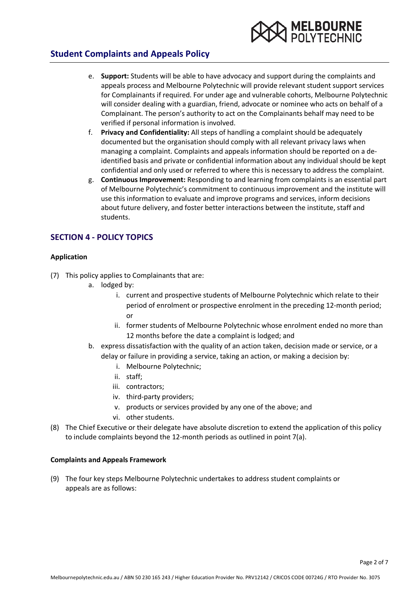

- e. **Support:** Students will be able to have advocacy and support during the complaints and appeals process and Melbourne Polytechnic will provide relevant student support services for Complainants if required. For under age and vulnerable cohorts, Melbourne Polytechnic will consider dealing with a guardian, friend, advocate or nominee who acts on behalf of a Complainant. The person's authority to act on the Complainants behalf may need to be verified if personal information is involved.
- f. **Privacy and Confidentiality:** All steps of handling a complaint should be adequately documented but the organisation should comply with all relevant privacy laws when managing a complaint. Complaints and appeals information should be reported on a deidentified basis and private or confidential information about any individual should be kept confidential and only used or referred to where this is necessary to address the complaint.
- g. **Continuous Improvement:** Responding to and learning from complaints is an essential part of Melbourne Polytechnic's commitment to continuous improvement and the institute will use this information to evaluate and improve programs and services, inform decisions about future delivery, and foster better interactions between the institute, staff and students.

## **SECTION 4 - POLICY TOPICS**

### **Application**

- (7) This policy applies to Complainants that are:
	- a. lodged by:
		- i. current and prospective students of Melbourne Polytechnic which relate to their period of enrolment or prospective enrolment in the preceding 12-month period; or
		- ii. former students of Melbourne Polytechnic whose enrolment ended no more than 12 months before the date a complaint is lodged; and
	- b. express dissatisfaction with the quality of an action taken, decision made or service, or a delay or failure in providing a service, taking an action, or making a decision by:
		- i. Melbourne Polytechnic;
		- ii. staff;
		- iii. contractors;
		- iv. third-party providers;
		- v. products or services provided by any one of the above; and
		- vi. other students.
- (8) The Chief Executive or their delegate have absolute discretion to extend the application of this policy to include complaints beyond the 12-month periods as outlined in point 7(a).

### **Complaints and Appeals Framework**

(9) The four key steps Melbourne Polytechnic undertakes to address student complaints or appeals are as follows: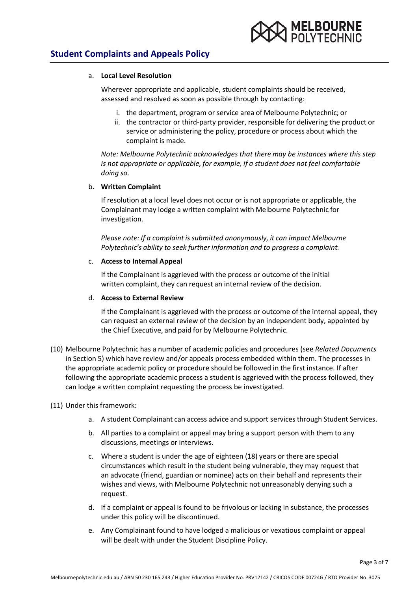

#### a. **Local Level Resolution**

Wherever appropriate and applicable, student complaints should be received, assessed and resolved as soon as possible through by contacting:

- i. the department, program or service area of Melbourne Polytechnic; or
- ii. the contractor or third-party provider, responsible for delivering the product or service or administering the policy, procedure or process about which the complaint is made.

*Note: Melbourne Polytechnic acknowledges that there may be instances where this step is not appropriate or applicable, for example, if a student does not feel comfortable doing so.*

### b. **Written Complaint**

If resolution at a local level does not occur or is not appropriate or applicable, the Complainant may lodge a written complaint with Melbourne Polytechnic for investigation.

*Please note: If a complaint is submitted anonymously, it can impact Melbourne Polytechnic's ability to seek further information and to progress a complaint.*

#### c. **Accessto Internal Appeal**

If the Complainant is aggrieved with the process or outcome of the initial written complaint, they can request an internal review of the decision.

#### d. **Accessto External Review**

If the Complainant is aggrieved with the process or outcome of the internal appeal, they can request an external review of the decision by an independent body, appointed by the Chief Executive, and paid for by Melbourne Polytechnic.

(10) Melbourne Polytechnic has a number of academic policies and procedures (see *Related Documents* in Section 5) which have review and/or appeals process embedded within them. The processes in the appropriate academic policy or procedure should be followed in the first instance. If after following the appropriate academic process a student is aggrieved with the process followed, they can lodge a written complaint requesting the process be investigated.

### (11) Under this framework:

- a. A student Complainant can access advice and support services through Student Services.
- b. All parties to a complaint or appeal may bring a support person with them to any discussions, meetings or interviews.
- c. Where a student is under the age of eighteen (18) years or there are special circumstances which result in the student being vulnerable, they may request that an advocate (friend, guardian or nominee) acts on their behalf and represents their wishes and views, with Melbourne Polytechnic not unreasonably denying such a request.
- d. If a complaint or appeal is found to be frivolous or lacking in substance, the processes under this policy will be discontinued.
- e. Any Complainant found to have lodged a malicious or vexatious complaint or appeal will be dealt with under the Student Discipline Policy.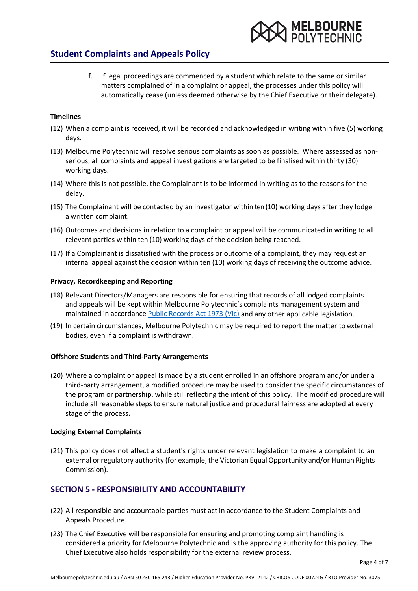

f. If legal proceedings are commenced by a student which relate to the same or similar matters complained of in a complaint or appeal, the processes under this policy will automatically cease (unless deemed otherwise by the Chief Executive or their delegate).

#### **Timelines**

- (12) When a complaint is received, it will be recorded and acknowledged in writing within five (5) working days.
- (13) Melbourne Polytechnic will resolve serious complaints as soon as possible. Where assessed as nonserious, all complaints and appeal investigations are targeted to be finalised within thirty (30) working days.
- (14) Where this is not possible, the Complainant is to be informed in writing as to the reasons for the delay.
- (15) The Complainant will be contacted by an Investigator within ten (10) working days after they lodge a written complaint.
- (16) Outcomes and decisions in relation to a complaint or appeal will be communicated in writing to all relevant parties within ten (10) working days of the decision being reached.
- (17) If a Complainant is dissatisfied with the process or outcome of a complaint, they may request an internal appeal against the decision within ten (10) working days of receiving the outcome advice.

#### **Privacy, Recordkeeping and Reporting**

- (18) Relevant Directors/Managers are responsible for ensuring that records of all lodged complaints and appeals will be kept within Melbourne Polytechnic's complaints management system and maintained in accordance [Public Records Act 1973 \(Vic\)](https://www.legislation.vic.gov.au/in-force/acts/public-records-act-1973/041) and any other applicable legislation.
- (19) In certain circumstances, Melbourne Polytechnic may be required to report the matter to external bodies, even if a complaint is withdrawn.

#### **Offshore Students and Third-Party Arrangements**

(20) Where a complaint or appeal is made by a student enrolled in an offshore program and/or under a third-party arrangement, a modified procedure may be used to consider the specific circumstances of the program or partnership, while still reflecting the intent of this policy. The modified procedure will include all reasonable steps to ensure natural justice and procedural fairness are adopted at every stage of the process.

#### **Lodging External Complaints**

(21) This policy does not affect a student's rights under relevant legislation to make a complaint to an external or regulatory authority (for example, the Victorian Equal Opportunity and/or Human Rights Commission).

## **SECTION 5 - RESPONSIBILITY AND ACCOUNTABILITY**

- (22) All responsible and accountable parties must act in accordance to the Student Complaints and Appeals Procedure.
- (23) The Chief Executive will be responsible for ensuring and promoting complaint handling is considered a priority for Melbourne Polytechnic and is the approving authority for this policy. The Chief Executive also holds responsibility for the external review process.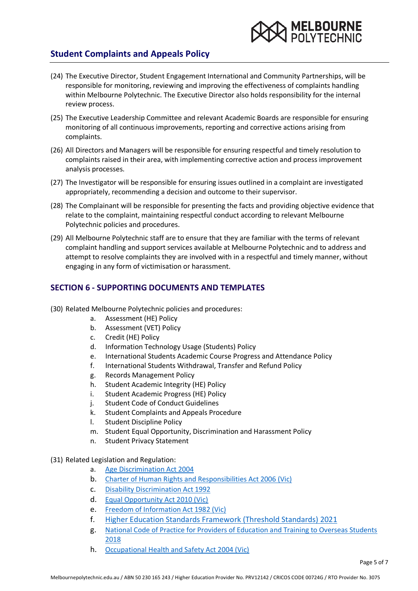

- (24) The Executive Director, Student Engagement International and Community Partnerships, will be responsible for monitoring, reviewing and improving the effectiveness of complaints handling within Melbourne Polytechnic. The Executive Director also holds responsibility for the internal review process.
- (25) The Executive Leadership Committee and relevant Academic Boards are responsible for ensuring monitoring of all continuous improvements, reporting and corrective actions arising from complaints.
- (26) All Directors and Managers will be responsible for ensuring respectful and timely resolution to complaints raised in their area, with implementing corrective action and process improvement analysis processes.
- (27) The Investigator will be responsible for ensuring issues outlined in a complaint are investigated appropriately, recommending a decision and outcome to their supervisor.
- (28) The Complainant will be responsible for presenting the facts and providing objective evidence that relate to the complaint, maintaining respectful conduct according to relevant Melbourne Polytechnic policies and procedures.
- (29) All Melbourne Polytechnic staff are to ensure that they are familiar with the terms of relevant complaint handling and support services available at Melbourne Polytechnic and to address and attempt to resolve complaints they are involved with in a respectful and timely manner, without engaging in any form of victimisation or harassment.

# **SECTION 6 - SUPPORTING DOCUMENTS AND TEMPLATES**

- (30) Related Melbourne Polytechnic policies and procedures:
	- a. Assessment (HE) Policy
	- b. Assessment (VET) Policy
	- c. Credit (HE) Policy
	- d. Information Technology Usage (Students) Policy
	- e. International Students Academic Course Progress and Attendance Policy
	- f. International Students Withdrawal, Transfer and Refund Policy
	- g. Records Management Policy
	- h. Student Academic Integrity (HE) Policy
	- i. Student Academic Progress (HE) Policy
	- j. Student Code of Conduct Guidelines
	- k. Student Complaints and Appeals Procedure
	- l. Student Discipline Policy
	- m. Student Equal Opportunity, Discrimination and Harassment Policy
	- n. Student Privacy Statement
- (31) Related Legislation and Regulation:
	- a. [Age Discrimination Act 2004](https://www.legislation.gov.au/Details/C2017C00341)
	- b. [Charter of Human Rights and Responsibilities Act 2006 \(Vic\)](https://www.legislation.vic.gov.au/in-force/acts/charter-human-rights-and-responsibilities-act-2006/014)
	- c. [Disability Discrimination Act 1992](https://www.legislation.gov.au/Details/C2016C00763)
	- d. [Equal Opportunity Act 2010 \(Vic\)](https://www.legislation.vic.gov.au/in-force/acts/equal-opportunity-act-2010/020)
	- e. [Freedom of Information Act 1982 \(Vic\)](https://www.legislation.vic.gov.au/in-force/acts/freedom-information-act-1982/108)
	- f. Higher Education Standards [Framework](https://aus01.safelinks.protection.outlook.com/?url=https%3A%2F%2Fwww.legislation.gov.au%2FDetails%2FF2021L00488&data=04%7C01%7CPolicies%40melbournepolytechnic.edu.au%7C9f05da052c06499f572208d98ea4a3a8%7C57cae833722040088adbe6904b0543f0%7C0%7C0%7C637697660028803154%7CUnknown%7CTWFpbGZsb3d8eyJWIjoiMC4wLjAwMDAiLCJQIjoiV2luMzIiLCJBTiI6Ik1haWwiLCJXVCI6Mn0%3D%7C1000&sdata=af4uDihxF287dmSYQ1hBnJhhY7LoWmPIA18kEw5ossU%3D&reserved=0) (Threshold Standards) 2021
	- g. [National Code of Practice for Providers of Education and Training to Overseas Students](https://www.legislation.gov.au/Details/F2017L01182)  [2018](https://www.legislation.gov.au/Details/F2017L01182)
	- h. [Occupational Health and Safety Act 2004 \(Vic\)](https://www.legislation.vic.gov.au/in-force/acts/occupational-health-and-safety-act-2004/034)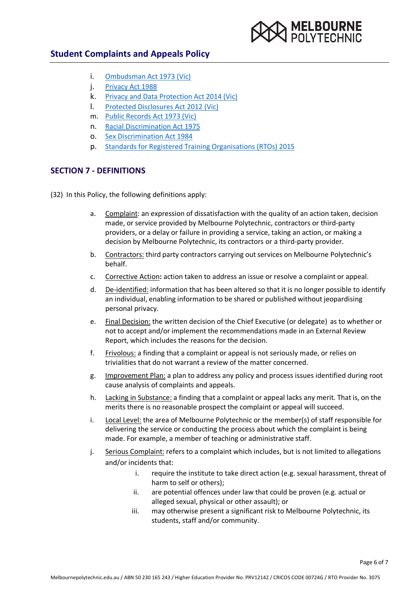

- i. [Ombudsman Act 1973 \(Vic\)](https://www.legislation.vic.gov.au/in-force/acts/ombudsman-act-1973/112)
- j. [Privacy Act 1988](https://www.legislation.gov.au/Details/C2014C00076)
- k. [Privacy and Data Protection Act 2014 \(Vic\)](https://www.legislation.vic.gov.au/in-force/acts/privacy-and-data-protection-act-2014/026)
- l. [Protected Disclosures Act 2012](https://www.legislation.vic.gov.au/in-force/acts/public-interest-disclosures-act-2012/025) (Vic)
- m. [Public Records Act 1973 \(Vic\)](https://www.legislation.vic.gov.au/in-force/acts/public-records-act-1973/041)
- n. [Racial Discrimination Act 1975](https://www.legislation.gov.au/Details/C2016C00089)
- o. [Sex Discrimination Act 1984](https://www.legislation.gov.au/Details/C2014C00002)
- p. [Standards for Registered Training Organisations](https://www.legislation.gov.au/Details/F2019C00503) (RTOs) 2015

# **SECTION 7 - DEFINITIONS**

- (32) In this Policy, the following definitions apply:
	- a. Complaint: an expression of dissatisfaction with the quality of an action taken, decision made, or service provided by Melbourne Polytechnic, contractors or third-party providers, or a delay or failure in providing a service, taking an action, or making a decision by Melbourne Polytechnic, its contractors or a third-party provider.
	- b. Contractors: third party contractors carrying out services on Melbourne Polytechnic's behalf.
	- c. Corrective Action**:** action taken to address an issue or resolve a complaint or appeal.
	- d. De-identified: information that has been altered so that it is no longer possible to identify an individual, enabling information to be shared or published without jeopardising personal privacy.
	- e. Final Decision: the written decision of the Chief Executive (or delegate) as to whether or not to accept and/or implement the recommendations made in an External Review Report, which includes the reasons for the decision.
	- f. Frivolous: a finding that a complaint or appeal is not seriously made, or relies on trivialities that do not warrant a review of the matter concerned.
	- g. Improvement Plan: a plan to address any policy and process issues identified during root cause analysis of complaints and appeals.
	- h. Lacking in Substance: a finding that a complaint or appeal lacks any merit. That is, on the merits there is no reasonable prospect the complaint or appeal will succeed.
	- i. Local Level: the area of Melbourne Polytechnic or the member(s) of staff responsible for delivering the service or conducting the process about which the complaint is being made. For example, a member of teaching or administrative staff.
	- j. Serious Complaint: refers to a complaint which includes, but is not limited to allegations and/or incidents that:
		- i. require the institute to take direct action (e.g. sexual harassment, threat of harm to self or others);
		- ii. are potential offences under law that could be proven (e.g. actual or alleged sexual, physical or other assault); or
		- iii. may otherwise present a significant risk to Melbourne Polytechnic, its students, staff and/or community.